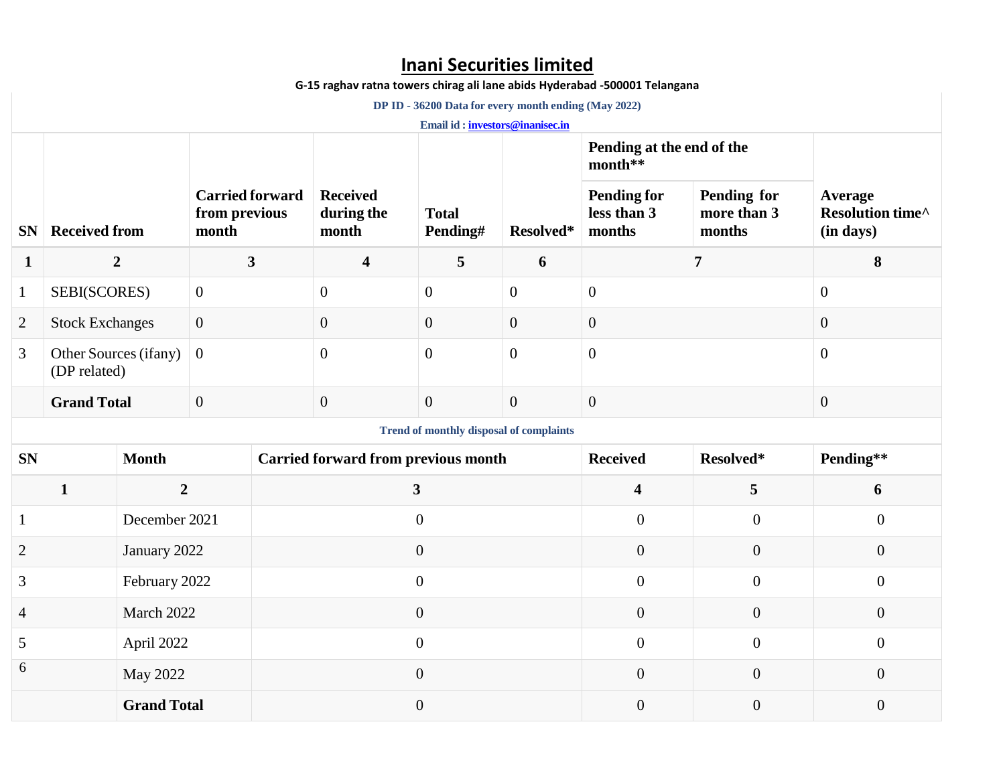## **Inani Securities limited**

**G-15 raghav ratna towers chirag ali lane abids Hyderabad -500001 Telangana**

 **DP ID - 36200 Data for every month ending (May 2022)**

**Email id [: investors@inanisec.in](mailto:investors@inanisec.in)**

|                |                                                |                    |                         |                                            |                                        |                          |                  | Pending at the end of the<br>month**        |                                      |                                          |  |  |  |
|----------------|------------------------------------------------|--------------------|-------------------------|--------------------------------------------|----------------------------------------|--------------------------|------------------|---------------------------------------------|--------------------------------------|------------------------------------------|--|--|--|
| <b>SN</b>      | <b>Received from</b>                           |                    | from previous<br>month  | <b>Carried forward</b>                     | <b>Received</b><br>during the<br>month | <b>Total</b><br>Pending# | Resolved*        | <b>Pending for</b><br>less than 3<br>months | Pending for<br>more than 3<br>months | Average<br>Resolution time^<br>(in days) |  |  |  |
| $\mathbf{1}$   | $\boldsymbol{2}$                               |                    | $\overline{\mathbf{3}}$ |                                            | $\overline{\mathbf{4}}$                | 5                        | 6                | 7                                           |                                      | 8                                        |  |  |  |
| $\mathbf{1}$   | SEBI(SCORES)                                   |                    | $\overline{0}$          |                                            | $\overline{0}$                         | $\overline{0}$           | $\boldsymbol{0}$ | $\overline{0}$                              |                                      | $\mathbf{0}$                             |  |  |  |
| $\overline{2}$ | <b>Stock Exchanges</b>                         |                    | $\overline{0}$          |                                            | $\overline{0}$                         | $\boldsymbol{0}$         | $\mathbf{0}$     | $\boldsymbol{0}$                            |                                      | $\mathbf{0}$                             |  |  |  |
| 3              | Other Sources (ifany)<br>(DP related)          |                    | $\boldsymbol{0}$        |                                            | $\boldsymbol{0}$                       | $\overline{0}$           | $\boldsymbol{0}$ | $\boldsymbol{0}$                            |                                      | $\overline{0}$                           |  |  |  |
|                | <b>Grand Total</b>                             |                    | $\overline{0}$          |                                            | $\overline{0}$                         | $\overline{0}$           | $\overline{0}$   | $\overline{0}$                              |                                      | $\mathbf{0}$                             |  |  |  |
|                | <b>Trend of monthly disposal of complaints</b> |                    |                         |                                            |                                        |                          |                  |                                             |                                      |                                          |  |  |  |
| <b>SN</b>      |                                                | <b>Month</b>       |                         | <b>Carried forward from previous month</b> |                                        |                          | <b>Received</b>  | Resolved*                                   | Pending**                            |                                          |  |  |  |
|                | $\mathbf{1}$                                   | $\overline{2}$     |                         | $\mathbf{3}$                               |                                        |                          |                  | $\overline{\mathbf{4}}$                     | 5                                    | 6                                        |  |  |  |
|                |                                                | December 2021      |                         | $\overline{0}$                             |                                        |                          | $\overline{0}$   | $\overline{0}$                              | $\boldsymbol{0}$                     |                                          |  |  |  |
| $\overline{2}$ |                                                | January 2022       |                         | $\overline{0}$                             |                                        |                          | $\mathbf{0}$     | $\overline{0}$                              | $\overline{0}$                       |                                          |  |  |  |
| 3              |                                                | February 2022      |                         | $\overline{0}$                             |                                        |                          |                  | $\overline{0}$                              | $\overline{0}$                       | $\overline{0}$                           |  |  |  |
| 4              |                                                | March 2022         |                         | $\overline{0}$                             |                                        |                          |                  | $\mathbf{0}$                                | $\overline{0}$                       | $\overline{0}$                           |  |  |  |
| 5              |                                                | April 2022         |                         | $\overline{0}$                             |                                        |                          | $\overline{0}$   | $\overline{0}$                              | $\boldsymbol{0}$                     |                                          |  |  |  |
| 6              |                                                | <b>May 2022</b>    |                         | $\overline{0}$                             |                                        |                          | $\overline{0}$   | $\overline{0}$                              | $\boldsymbol{0}$                     |                                          |  |  |  |
|                |                                                | <b>Grand Total</b> |                         | $\theta$                                   |                                        |                          | $\theta$         | $\overline{0}$                              | $\overline{0}$                       |                                          |  |  |  |